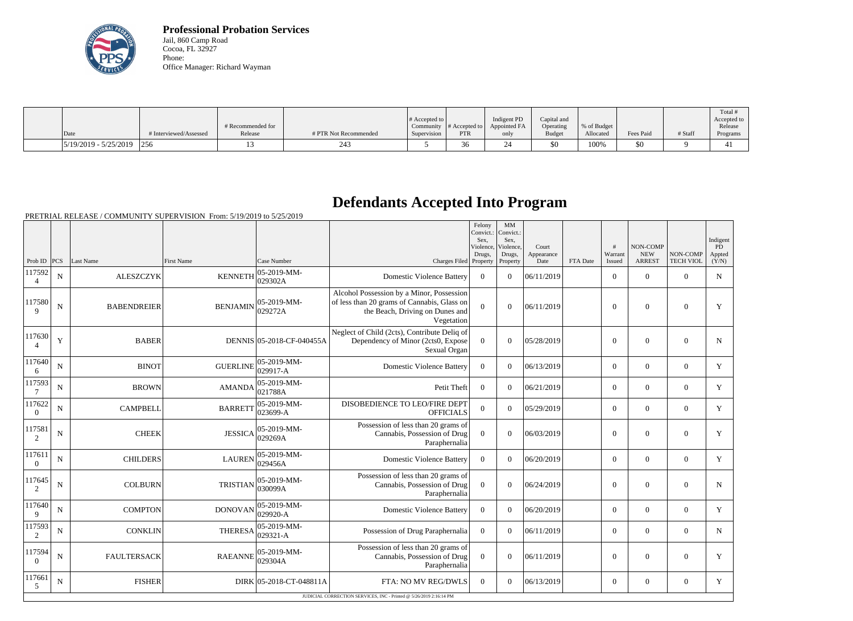

**Professional Probation Services** Jail, 860 Camp Road Cocoa, FL 32927 Phone: Office Manager: Richard Wayman

|                         |                        |                              |                       | $\#$ Accepted to |                            | Indigent PD  | Capital and   |                          |           |         | Total #<br>Accepted to |
|-------------------------|------------------------|------------------------------|-----------------------|------------------|----------------------------|--------------|---------------|--------------------------|-----------|---------|------------------------|
|                         | # Interviewed/Assessed | # Recommended for<br>Release | # PTR Not Recommended | Community        | $#$ Accepted to $ $<br>PTR | Appointed FA | Operating     | % of Budget<br>Allocated | Fees Paid | # Staff | Release                |
| Date                    |                        |                              |                       | Supervision      |                            | only         | <b>Budget</b> |                          |           |         | Programs               |
| $5/19/2019 - 5/25/2019$ | 256                    |                              |                       |                  | 36                         |              | $$^{<}$       | 100%                     | 50        |         |                        |

## **Defendants Accepted Into Program**

PRETRIAL RELEASE / COMMUNITY SUPERVISION From: 5/19/2019 to 5/25/2019

|                          |             |                    |                 |                                 |                                                                                                                                           | Felony<br>Convict.:<br>Sex.<br>Violence, | MM<br>Convict.:<br>Sex.<br>Violence, | Court              |          | #<br>Warrant   | NON-COMP<br><b>NEW</b> | NON-COMP         | Indigent<br>PD  |
|--------------------------|-------------|--------------------|-----------------|---------------------------------|-------------------------------------------------------------------------------------------------------------------------------------------|------------------------------------------|--------------------------------------|--------------------|----------|----------------|------------------------|------------------|-----------------|
| Prob ID $ PCS $          |             | Last Name          | First Name      | Case Number                     | Charges Filed Property                                                                                                                    | Drugs,                                   | Drugs,<br>Property                   | Appearance<br>Date | FTA Date | Issued         | <b>ARREST</b>          | <b>TECH VIOL</b> | Appted<br>(Y/N) |
| 117592                   | $\mathbf N$ | <b>ALESZCZYK</b>   | <b>KENNETH</b>  | $ 05 - 2019 - MM -$<br>029302A  | <b>Domestic Violence Battery</b>                                                                                                          | $\overline{0}$                           | $\Omega$                             | 06/11/2019         |          | $\overline{0}$ | $\mathbf{0}$           | $\overline{0}$   | ${\bf N}$       |
| 117580<br>$\mathbf Q$    | ${\bf N}$   | <b>BABENDREIER</b> | <b>BENJAMIN</b> | $ 05-2019-MM-$<br>029272A       | Alcohol Possession by a Minor, Possession<br>of less than 20 grams of Cannabis, Glass on<br>the Beach, Driving on Dunes and<br>Vegetation | $\overline{0}$                           | $\theta$                             | 06/11/2019         |          | $\mathbf{0}$   | $\overline{0}$         | $\mathbf{0}$     | $\mathbf Y$     |
| 117630                   | Y           | <b>BABER</b>       |                 | DENNIS 05-2018-CF-040455A       | Neglect of Child (2cts), Contribute Deliq of<br>Dependency of Minor (2cts0, Expose<br>Sexual Organ                                        | $\mathbf{0}$                             | $\boldsymbol{0}$                     | 05/28/2019         |          | $\mathbf{0}$   | $\mathbf{0}$           | $\mathbf{0}$     | N               |
| 117640<br>6              | $\mathbf N$ | <b>BINOT</b>       | <b>GUERLINE</b> | $ 05-2019-MM -$<br>029917-A     | <b>Domestic Violence Battery</b>                                                                                                          | $\Omega$                                 | $\Omega$                             | 06/13/2019         |          | $\overline{0}$ | $\theta$               | $\mathbf{0}$     | Y               |
| 117593<br>7              | $\mathbf N$ | <b>BROWN</b>       | <b>AMANDA</b>   | $ 05 - 2019 - MM -$<br>021788A  | Petit Theft                                                                                                                               | $\overline{0}$                           | $\Omega$                             | 06/21/2019         |          | $\overline{0}$ | $\theta$               | $\overline{0}$   | $\mathbf Y$     |
| 117622<br>$\overline{0}$ | ${\bf N}$   | <b>CAMPBELL</b>    | <b>BARRETT</b>  | $ 05-2019-MM-$<br>$ 023699-A$   | DISOBEDIENCE TO LEO/FIRE DEPT<br><b>OFFICIALS</b>                                                                                         | $\mathbf{0}$                             | $\Omega$                             | 05/29/2019         |          | $\overline{0}$ | $\overline{0}$         | $\mathbf{0}$     | $\mathbf Y$     |
| 117581<br>2              | ${\bf N}$   | <b>CHEEK</b>       | <b>JESSICA</b>  | $ 05 - 2019 - MM -$<br>029269A  | Possession of less than 20 grams of<br>Cannabis, Possession of Drug<br>Paraphernalia                                                      | $\Omega$                                 | $\Omega$                             | 06/03/2019         |          | $\overline{0}$ | $\overline{0}$         | $\overline{0}$   | Y               |
| 117611<br>$\overline{0}$ | N           | <b>CHILDERS</b>    | <b>LAUREN</b>   | 05-2019-MM-<br>029456A          | <b>Domestic Violence Battery</b>                                                                                                          | $\mathbf{0}$                             | $\overline{0}$                       | 06/20/2019         |          | $\overline{0}$ | $\mathbf{0}$           | $\mathbf{0}$     | Y               |
| 117645<br>2              | ${\bf N}$   | <b>COLBURN</b>     | <b>TRISTIAN</b> | 05-2019-MM-<br>030099A          | Possession of less than 20 grams of<br>Cannabis, Possession of Drug<br>Paraphernalia                                                      | $\overline{0}$                           | $\theta$                             | 06/24/2019         |          | $\overline{0}$ | $\mathbf{0}$           | $\overline{0}$   | ${\bf N}$       |
| 117640<br>9              | $\mathbf N$ | <b>COMPTON</b>     | <b>DONOVAN</b>  | 05-2019-MM-<br>029920-A         | <b>Domestic Violence Battery</b>                                                                                                          | $\Omega$                                 | $\Omega$                             | 06/20/2019         |          | $\overline{0}$ | $\mathbf{0}$           | $\mathbf{0}$     | Y               |
| 117593<br>2              | ${\bf N}$   | <b>CONKLIN</b>     | <b>THERESA</b>  | $ 05 - 2019 - MM -$<br>029321-A | Possession of Drug Paraphernalia                                                                                                          | $\boldsymbol{0}$                         | $\overline{0}$                       | 06/11/2019         |          | $\overline{0}$ | $\mathbf{0}$           | $\mathbf{0}$     | ${\bf N}$       |
| 117594<br>$\Omega$       | ${\bf N}$   | <b>FAULTERSACK</b> | <b>RAEANNE</b>  | 05-2019-MM-<br>029304A          | Possession of less than 20 grams of<br>Cannabis, Possession of Drug<br>Paraphernalia                                                      | $\overline{0}$                           | $\theta$                             | 06/11/2019         |          | $\overline{0}$ | $\overline{0}$         | $\mathbf{0}$     | Y               |
| 117661<br>$\mathfrak{S}$ | ${\bf N}$   | <b>FISHER</b>      |                 | DIRK 05-2018-CT-048811A         | FTA: NO MV REG/DWLS                                                                                                                       | $\Omega$                                 | $\Omega$                             | 06/13/2019         |          | $\Omega$       | $\theta$               | $\overline{0}$   | Y               |
|                          |             |                    |                 |                                 | JUDICIAL CORRECTION SERVICES. INC - Printed @ 5/26/2019 2:16:14 PM                                                                        |                                          |                                      |                    |          |                |                        |                  |                 |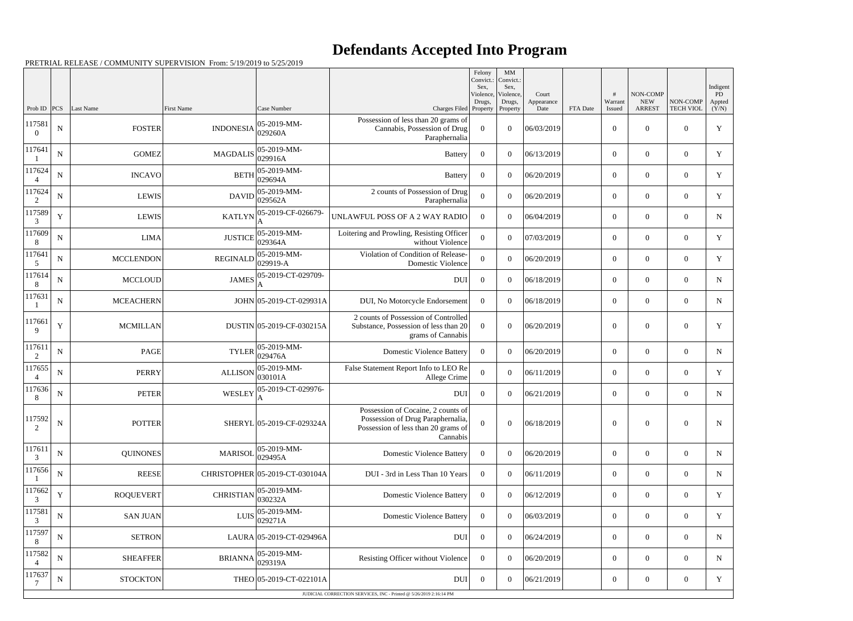## **Defendants Accepted Into Program**

PRETRIAL RELEASE / COMMUNITY SUPERVISION From: 5/19/2019 to 5/25/2019

| Prob ID                  | PCS         | Last Name        | First Name                                 | Case Number                    | Charges Filed Property                                                                                                     | Felony<br>Convict.:<br>Sex.<br>Violence,<br>Drugs, | MM<br>Convict.:<br>Sex,<br>Violence,<br>Drugs,<br>Property | Court<br>Appearance<br>Date | FTA Date | #<br>Warrant<br>Issued | NON-COMP<br><b>NEW</b><br><b>ARREST</b> | NON-COMP<br><b>TECH VIOL</b> | Indigent<br>PD.<br>Appted<br>(Y/N) |
|--------------------------|-------------|------------------|--------------------------------------------|--------------------------------|----------------------------------------------------------------------------------------------------------------------------|----------------------------------------------------|------------------------------------------------------------|-----------------------------|----------|------------------------|-----------------------------------------|------------------------------|------------------------------------|
| 117581<br>$\Omega$       | ${\bf N}$   | <b>FOSTER</b>    | 05-2019-MM-<br><b>INDONESIA</b><br>029260A |                                | Possession of less than 20 grams of<br>Cannabis, Possession of Drug<br>Paraphernalia                                       | $\Omega$                                           | $\theta$                                                   | 06/03/2019                  |          | $\overline{0}$         | $\Omega$                                | $\Omega$                     | Y                                  |
| 117641                   | $\mathbf N$ | <b>GOMEZ</b>     | 05-2019-MM-<br><b>MAGDALIS</b><br>029916A  |                                | <b>Battery</b>                                                                                                             | $\theta$                                           | $\theta$                                                   | 06/13/2019                  |          | $\overline{0}$         | $\mathbf{0}$                            | $\theta$                     | Y                                  |
| 117624<br>$\overline{4}$ | ${\bf N}$   | <b>INCAVO</b>    | <b>BETH</b>                                | 05-2019-MM-<br>029694A         | <b>Battery</b>                                                                                                             | $\overline{0}$                                     | $\theta$                                                   | 06/20/2019                  |          | $\overline{0}$         | $\Omega$                                | $\Omega$                     | Y                                  |
| 117624<br>2              | ${\bf N}$   | <b>LEWIS</b>     | 05-2019-MM-<br><b>DAVID</b><br>029562A     |                                | 2 counts of Possession of Drug<br>Paraphernalia                                                                            | $\Omega$                                           | $\theta$                                                   | 06/20/2019                  |          | $\overline{0}$         | $\overline{0}$                          | $\Omega$                     | Y                                  |
| 117589<br>3              | $\mathbf Y$ | <b>LEWIS</b>     | 05-2019-CF-026679-<br><b>KATLYN</b>        |                                | UNLAWFUL POSS OF A 2 WAY RADIO                                                                                             | $\Omega$                                           | $\Omega$                                                   | 06/04/2019                  |          | $\overline{0}$         | $\Omega$                                | $\theta$                     | N                                  |
| 117609<br>8              | $\mathbf N$ | <b>LIMA</b>      | 05-2019-MM-<br><b>JUSTICE</b><br>029364A   |                                | Loitering and Prowling, Resisting Officer<br>without Violence                                                              | $\Omega$                                           | $\theta$                                                   | 07/03/2019                  |          | $\overline{0}$         | $\Omega$                                | $\Omega$                     | Y                                  |
| 117641<br>5              | ${\bf N}$   | <b>MCCLENDON</b> | <b>REGINALD</b>                            | 05-2019-MM-<br>029919-A        | Violation of Condition of Release-<br>Domestic Violence                                                                    | $\Omega$                                           | $\theta$                                                   | 06/20/2019                  |          | $\overline{0}$         | $\Omega$                                | $\theta$                     | $\mathbf Y$                        |
| 117614<br>8              | ${\bf N}$   | <b>MCCLOUD</b>   | <b>JAMES</b>                               | 05-2019-CT-029709-             | <b>DUI</b>                                                                                                                 | $\overline{0}$                                     | $\theta$                                                   | 06/18/2019                  |          | $\overline{0}$         | $\overline{0}$                          | $\Omega$                     | N                                  |
| 117631                   | ${\bf N}$   | <b>MCEACHERN</b> |                                            | JOHN 05-2019-CT-029931A        | DUI, No Motorcycle Endorsement                                                                                             | $\overline{0}$                                     | $\theta$                                                   | 06/18/2019                  |          | $\overline{0}$         | $\Omega$                                | $\theta$                     | N                                  |
| 117661<br>9              | Y           | <b>MCMILLAN</b>  |                                            | DUSTIN 05-2019-CF-030215A      | 2 counts of Possession of Controlled<br>Substance, Possession of less than 20<br>grams of Cannabis                         | $\theta$                                           | $\theta$                                                   | 06/20/2019                  |          | $\overline{0}$         | $\mathbf{0}$                            | $\theta$                     | Y                                  |
| 117611<br>2              | $\mathbf N$ | PAGE             | 05-2019-MM-<br><b>TYLER</b><br>029476A     |                                | <b>Domestic Violence Battery</b>                                                                                           | $\overline{0}$                                     | $\theta$                                                   | 06/20/2019                  |          | $\overline{0}$         | $\overline{0}$                          | $\theta$                     | $\mathbf N$                        |
| 117655                   | $\mathbf N$ | <b>PERRY</b>     | 05-2019-MM-<br><b>ALLISON</b><br>030101A   |                                | False Statement Report Info to LEO Re<br>Allege Crime                                                                      | $\Omega$                                           | $\theta$                                                   | 06/11/2019                  |          | $\overline{0}$         | $\overline{0}$                          | $\theta$                     | Y                                  |
| 117636<br>8              | $\mathbf N$ | <b>PETER</b>     | <b>WESLEY</b>                              | 05-2019-CT-029976-<br>А        | <b>DUI</b>                                                                                                                 | $\overline{0}$                                     | $\theta$                                                   | 06/21/2019                  |          | $\overline{0}$         | $\overline{0}$                          | $\overline{0}$               | N                                  |
| 117592<br>$\overline{2}$ | ${\bf N}$   | <b>POTTER</b>    |                                            | SHERYL 05-2019-CF-029324A      | Possession of Cocaine, 2 counts of<br>Possession of Drug Paraphernalia,<br>Possession of less than 20 grams of<br>Cannabis | $\overline{0}$                                     | $\overline{0}$                                             | 06/18/2019                  |          | $\boldsymbol{0}$       | $\boldsymbol{0}$                        | $\boldsymbol{0}$             | N                                  |
| 117611<br>3              | $\mathbf N$ | <b>QUINONES</b>  | <b>MARISOL</b>                             | 05-2019-MM-<br>029495A         | <b>Domestic Violence Battery</b>                                                                                           | $\overline{0}$                                     | $\theta$                                                   | 06/20/2019                  |          | $\overline{0}$         | $\overline{0}$                          | $\overline{0}$               | N                                  |
| 117656                   | ${\bf N}$   | <b>REESE</b>     |                                            | CHRISTOPHER 05-2019-CT-030104A | DUI - 3rd in Less Than 10 Years                                                                                            | $\overline{0}$                                     | $\theta$                                                   | 06/11/2019                  |          | $\boldsymbol{0}$       | $\overline{0}$                          | $\overline{0}$               | N                                  |
| 117662<br>3              | $\mathbf Y$ | <b>ROQUEVERT</b> | <b>CHRISTIAN</b>                           | 05-2019-MM-<br>030232A         | <b>Domestic Violence Battery</b>                                                                                           | $\overline{0}$                                     | $\theta$                                                   | 06/12/2019                  |          | $\boldsymbol{0}$       | $\overline{0}$                          | $\overline{0}$               | Y                                  |
| 117581<br>3              | $\mathbf N$ | <b>SAN JUAN</b>  | 05-2019-MM-<br>LUIS<br>029271A             |                                | <b>Domestic Violence Battery</b>                                                                                           | $\overline{0}$                                     | $\overline{0}$                                             | 06/03/2019                  |          | $\boldsymbol{0}$       | $\overline{0}$                          | $\overline{0}$               | Y                                  |
| 117597<br>8              | ${\bf N}$   | <b>SETRON</b>    | LAURA 05-2019-CT-029496A                   |                                | <b>DUI</b>                                                                                                                 | $\overline{0}$                                     | $\theta$                                                   | 06/24/2019                  |          | $\overline{0}$         | $\overline{0}$                          | $\overline{0}$               | N                                  |
| 117582<br>$\overline{4}$ | ${\bf N}$   | <b>SHEAFFER</b>  | <b>BRIANNA</b>                             | 05-2019-MM-<br>029319A         | Resisting Officer without Violence                                                                                         | $\overline{0}$                                     | $\overline{0}$                                             | 06/20/2019                  |          | $\boldsymbol{0}$       | $\overline{0}$                          | $\overline{0}$               | N                                  |
| 117637                   | ${\bf N}$   | <b>STOCKTON</b>  |                                            | THEO 05-2019-CT-022101A        | <b>DUI</b>                                                                                                                 | $\overline{0}$                                     | $\overline{0}$                                             | 06/21/2019                  |          | $\boldsymbol{0}$       | $\overline{0}$                          | $\overline{0}$               | Y                                  |
|                          |             |                  |                                            |                                | JUDICIAL CORRECTION SERVICES, INC - Printed @ 5/26/2019 2:16:14 PM                                                         |                                                    |                                                            |                             |          |                        |                                         |                              |                                    |